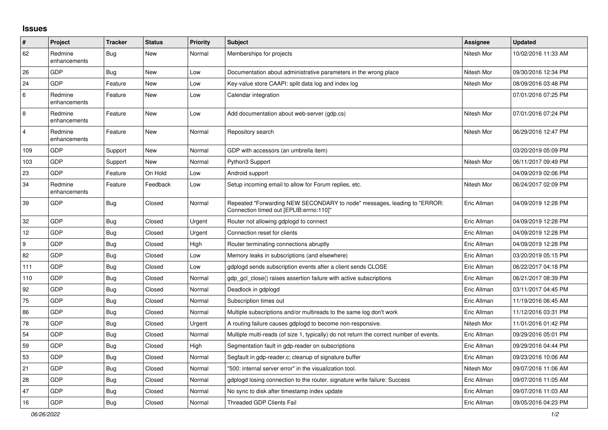## **Issues**

| #        | Project                 | <b>Tracker</b> | <b>Status</b> | <b>Priority</b> | <b>Subject</b>                                                                                                      | <b>Assignee</b> | Updated             |
|----------|-------------------------|----------------|---------------|-----------------|---------------------------------------------------------------------------------------------------------------------|-----------------|---------------------|
| 62       | Redmine<br>enhancements | Bug            | New           | Normal          | Memberships for projects                                                                                            | Nitesh Mor      | 10/02/2016 11:33 AM |
| 26       | GDP                     | Bug            | New           | Low             | Documentation about administrative parameters in the wrong place                                                    | Nitesh Mor      | 09/30/2016 12:34 PM |
| 24       | GDP                     | Feature        | New           | Low             | Key-value store CAAPI: split data log and index log                                                                 | Nitesh Mor      | 08/09/2016 03:48 PM |
| 6        | Redmine<br>enhancements | Feature        | New           | Low             | Calendar integration                                                                                                |                 | 07/01/2016 07:25 PM |
| $\,8\,$  | Redmine<br>enhancements | Feature        | New           | Low             | Add documentation about web-server (gdp.cs)                                                                         | Nitesh Mor      | 07/01/2016 07:24 PM |
| 4        | Redmine<br>enhancements | Feature        | New           | Normal          | Repository search                                                                                                   | Nitesh Mor      | 06/29/2016 12:47 PM |
| 109      | GDP                     | Support        | New           | Normal          | GDP with accessors (an umbrella item)                                                                               |                 | 03/20/2019 05:09 PM |
| 103      | GDP                     | Support        | New           | Normal          | Python3 Support                                                                                                     | Nitesh Mor      | 06/11/2017 09:49 PM |
| 23       | GDP                     | Feature        | On Hold       | Low             | Android support                                                                                                     |                 | 04/09/2019 02:06 PM |
| 34       | Redmine<br>enhancements | Feature        | Feedback      | Low             | Setup incoming email to allow for Forum replies, etc.                                                               | Nitesh Mor      | 06/24/2017 02:09 PM |
| 39       | GDP                     | <b>Bug</b>     | Closed        | Normal          | Repeated "Forwarding NEW SECONDARY to node" messages, leading to "ERROR:<br>"Connection timed out [EPLIB:errno:110] | Eric Allman     | 04/09/2019 12:28 PM |
| 32       | GDP                     | <b>Bug</b>     | Closed        | Urgent          | Router not allowing gdplogd to connect                                                                              | Eric Allman     | 04/09/2019 12:28 PM |
| 12       | GDP                     | Bug            | Closed        | Urgent          | Connection reset for clients                                                                                        | Eric Allman     | 04/09/2019 12:28 PM |
| <u>g</u> | GDP                     | Bug            | Closed        | High            | Router terminating connections abruptly                                                                             | Eric Allman     | 04/09/2019 12:28 PM |
| 82       | GDP                     | Bug            | Closed        | Low             | Memory leaks in subscriptions (and elsewhere)                                                                       | Eric Allman     | 03/20/2019 05:15 PM |
| 111      | GDP                     | Bug            | Closed        | Low             | gdplogd sends subscription events after a client sends CLOSE                                                        | Eric Allman     | 06/22/2017 04:18 PM |
| 110      | GDP                     | Bug            | Closed        | Normal          | gdp gcl close() raises assertion failure with active subscriptions                                                  | Eric Allman     | 06/21/2017 08:39 PM |
| 92       | GDP                     | Bug            | Closed        | Normal          | Deadlock in gdplogd                                                                                                 | Eric Allman     | 03/11/2017 04:45 PM |
| 75       | GDP                     | <b>Bug</b>     | Closed        | Normal          | Subscription times out                                                                                              | Eric Allman     | 11/19/2016 06:45 AM |
| 86       | GDP                     | Bug            | Closed        | Normal          | Multiple subscriptions and/or multireads to the same log don't work                                                 | Eric Allman     | 11/12/2016 03:31 PM |
| 78       | GDP                     | <b>Bug</b>     | Closed        | Urgent          | A routing failure causes gdplogd to become non-responsive.                                                          | Nitesh Mor      | 11/01/2016 01:42 PM |
| 54       | GDP                     | Bug            | Closed        | Normal          | Multiple multi-reads (of size 1, typically) do not return the correct number of events.                             | Eric Allman     | 09/29/2016 05:01 PM |
| 59       | GDP                     | Bug            | Closed        | High            | Segmentation fault in gdp-reader on subscriptions                                                                   | Eric Allman     | 09/29/2016 04:44 PM |
| 53       | GDP                     | Bug            | Closed        | Normal          | Segfault in gdp-reader.c; cleanup of signature buffer                                                               | Eric Allman     | 09/23/2016 10:06 AM |
| 21       | GDP                     | Bug            | Closed        | Normal          | '500: internal server error" in the visualization tool.                                                             | Nitesh Mor      | 09/07/2016 11:06 AM |
| 28       | GDP                     | <b>Bug</b>     | Closed        | Normal          | gdplogd losing connection to the router. signature write failure: Success                                           | Eric Allman     | 09/07/2016 11:05 AM |
| 47       | GDP                     | <b>Bug</b>     | Closed        | Normal          | No sync to disk after timestamp index update                                                                        | Eric Allman     | 09/07/2016 11:03 AM |
| 16       | GDP                     | Bug            | Closed        | Normal          | <b>Threaded GDP Clients Fail</b>                                                                                    | Eric Allman     | 09/05/2016 04:23 PM |